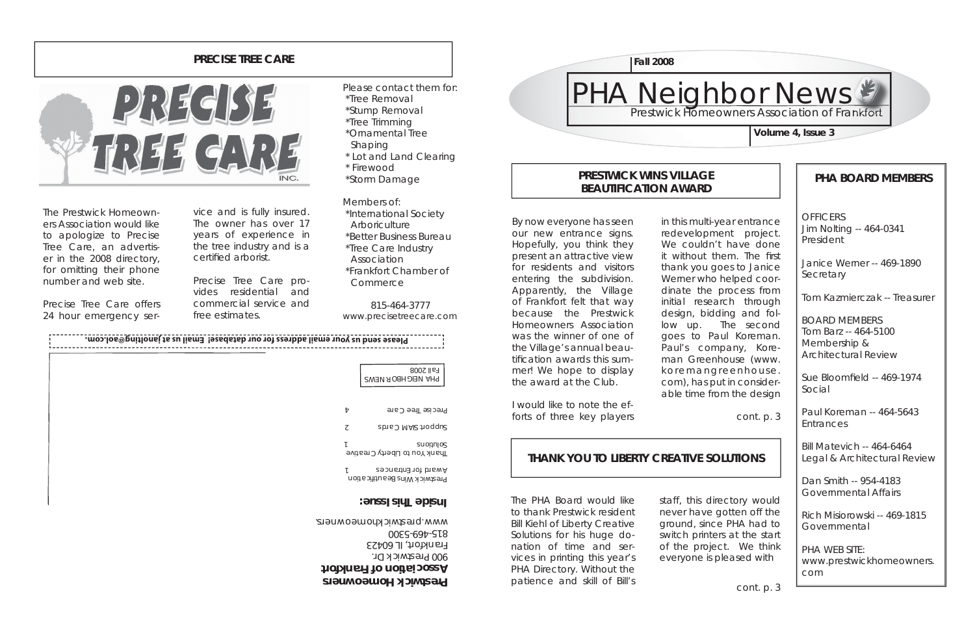**OFFICERS** Jim Nolting -- 464-0341 President

Janice Werner -- 469-1890**Secretary** 

# **PHA BOARD MEMBERS**

Sue Bloomfield -- 469-1974 Social

Tom Kazmierczak -- Treasurer

Rich Misiorowski -- 469-1815**Governmental** 

BOARD MEMBERSTom Barz -- 464-5100Membership & Architectural Review

Paul Koreman -- 464-5643Entrances



Bill Matevich -- 464-6464Legal & Architectural Review

Dan Smith -- 954-4183 Governmental Affairs

PHA WEB SITE:www.prestwickhomeowners. com

### **PRESTWICK WINS VILLAGE BEAUTIFICATION AWARD**

# **THANK YOU TO LIBERTY CREATIVE SOLUTIONS**

**Prestwick Homeowners Association of Frankfort**



### **PRECISE TREE CARE**



By now everyone has seen our new entrance signs. Hopefully, you think they present an attractive view for residents and visitors entering the subdivision. Apparently, the Village of Frankfort felt that way because the Prestwick Homeowners Association was the winner of one of the Village's annual beautification awards this summer! We hope to display the award at the Club.

I would like to note the efforts of three key players in this multi-year entrance redevelopment project. We couldn't have done it without them. The first thank you goes to Janice Werner who helped coordinate the process from initial research through design, bidding and follow up. The second goes to Paul Koreman. Paul's company, Koreman Greenhouse (www. koremangreenhouse. com), has put in considerable time from the design

cont. p. 3

The PHA Board would like to thank Prestwick resident Bill Kiehl of Liberty Creative Solutions for his huge donation of time and services in printing this year's PHA Directory. Without the patience and skill of Bill's

staff, this directory would never have gotten off the ground, since PHA had to switch printers at the start of the project. We think everyone is pleased with

The Prestwick Homeowners Association would like to apologize to Precise Tree Care, an advertiser in the 2008 directory, for omitting their phone number and web site.

Precise Tree Care offers 24 hour emergency service and is fully insured.<br>The owner has over 17<br>years of experience in<br>the tree industry and is a<br>certified arborist.

Precise Tree Care pro vides residential and commercial service and free estimates.

Please contact them for: \*Tree Removal \*Stump Removal \*Tree Trimming \*Ornamental Tree Shaping \* Lot and Land Clearing \* Firewood

\*Storm Damage

Members of: \*International Society **Arboriculture**  \*Better Business Bureau \*Tree Care Industry Association \*Frankfort Chamber ofCommerce

815-464-3777www.precisetreecare.com